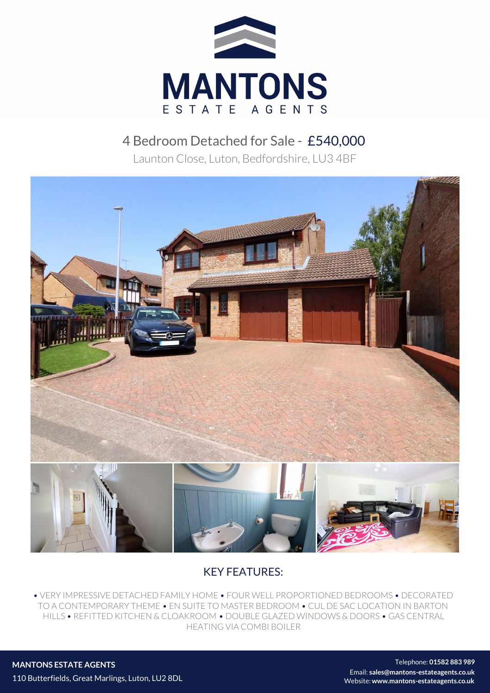

## 4 Bedroom Detached for Sale - £540,000

Launton Close, Luton, Bedfordshire, LU3 4BF



## KEY FEATURES:

• VERY IMPRESSIVE DETACHED FAMILY HOME • FOUR WELL PROPORTIONED BEDROOMS • DECORATED TO A CONTEMPORARY THEME • EN SUITE TO MASTER BEDROOM • CUL DE SAC LOCATION IN BARTON HILLS • REFITTED KITCHEN & CLOAKROOM • DOUBLE GLAZED WINDOWS & DOORS • GAS CENTRAL HEATING VIA COMBI BOILER